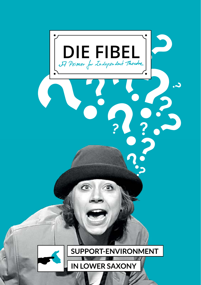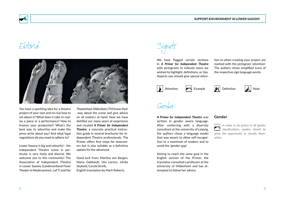

## Editorial



You have a sparkling idea for a theatre project of your own and no clue how to set about it? What does it take to realise a piece or a performance? How to finance your production? What's the best way to advertise and make the press write about you? And what legal regulations do you need to adhere to?

Lower Saxony is big and colourful – the Independent Theatre scene in particular is very lively and diverse. We welcome you to this community! The Association of Independent Theatre in Lower Saxony (*Landesverband Freier Theater in Niedersachsen, LaFT*) and the

*Theaterhaus Hildesheim (TH)* know their way about the scene and give advice on all matters at hand. Now we have distilled our many years of experience and created *A Primer for Independent Theatre*, a concrete practical instruction guide in several brochures for Independent Theatre professionals. The Primer offers first steps for newcomers but is also suitable as a definitive update for the advanced.

Good luck from: Martina von Bargen, Maria Gebhardt, Uta Lorenz, Ulrike Seybold, Carola Streib. English translation by Mark Roberts.



We have flagged certain sections in *A Primer for Independent Theatre* with pictograms to indicate notes we wished to highlight, definitions, or tips. Aspects you should give special attention to when creating your project are marked with the pictogram 'attention'. The authors chose simplified icons of the respective sign language words.

Attention **Example Definition** Note



### Gender

*A Primer for Independent Theatre* was written in gender aware language. After conferring with a diversity consultant at the university of Leipzig, the authors chose a language model that was meant to allow self-recognition to a maximum of readers and to avoid the 'gender-gap'.



**In order to do justice to all gender** *classifications, readers should be given the opportunity to classify themselves.*

Aiming to reach the same goal in the English version of the Primer, the translator consulted a professor at the university of Hildesheim and has attempted to follow her advice.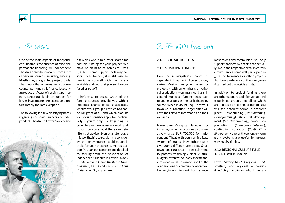

## 1. The basics

One of the main aspects of Independent Theatre is the absence of fixed and permanent financing. All Independent Theatres draw their income from a mix of various sources, including funding. Mostly they are granted project funds. That means that only one particular encounter per funding is financed, usually a production. Ways of receiving permanent, structural funds or support for larger investments are scarce and unfortunately the rare exception.

The following is a few classifying notes regarding the main financers of Independent Theatre in Lower Saxony and

1 and 2008 and 2008 and 2008 and 2008 and 2008 and 2008 and 2008 and 2008 and 2008 and 2008 and 2008 and 2008 and 2008 and 2008 and 2008 and 2008 and 2008 and 2008 and 2008 and 2008 and 2008 and 2008 and 2008 and 2008 and

a few tips where to further search for possible funding for your project. We make no claim to be complete. Even if, at first, some support tools may not seem to fit for you, it is still wise to familiarise yourself with the variety available and not to let yourself be confused or put off.

It isn't easy to assess which of the funding sources provide you with a moderate chance of being accepted, whether your group is entitled to a particular grant at all, and which amount you should sensibly apply for, particularly if you're only just beginning. In order to avoid unnecessary work and frustration you should therefore definitely get advice. Even at a later stage it is worthwhile to regularly reconsider which money sources could be applicable for your theatre's current situation. You can get concrete and detailed counselling from the Association of Independent Theatre in Lower Saxony (*Landesverband Freier Theater in Niedersachsen,* LaFT) and the *Theaterhaus Hildesheim (TH)* at any time.

2. The main financers

#### **2.1. Public Authorities**

#### 2.1.1. Municipal funding

How the municipalities finance Independent Theatre in Lower Saxony varies. Mostly they give money for projects – with an emphasis on original productions – on an annual basis. In general, municipal funding lends itself to young groups as the basic financing source. When in doubt, inquire at your town's cultural office. Larger cities will have the relevant information on their websites.

Lower Saxony's capital Hannover, for instance, currently provides a comparatively large EUR 700,000 for Independent Theatre through an intricate system of grants. How other towns give grants differs a great deal. Small towns and rural areas in particular tend to possess vanishingly small cultural budgets, often without any specific theatre means at all. Inform yourself of the conditions in the community where you live and/or wish to work. For instance, most towns and communities will only support projects by artists that actually live in the respective area. In certain circumstances some will participate in guest performances or other projects that bear a reference to the town, even if carried out by outside artists.

In addition to project funding there are other support tools for venues and established groups, not all of which are limited to the annual period. You will see different terms in different places. Basic funding (*Basisförderung, Grundförderung*), structural development (*Strukturförderung*), conception promotion (*Konzeptionsförderung*), continuity promotion (*Kontinuitätsförderung*). None of these longer-term grant systems are useful for groups only just beginning.

#### 2.1.2. Regional culture funding in Lower Saxony

Lower Saxony has 13 regions (*Landschaften*) and regional authorities (*Landschaftsverbände*) who have as-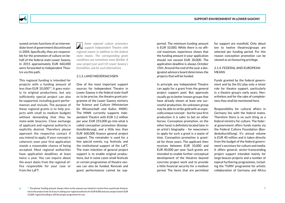

sumed certain functions of an intermediate level of government discontinued in 2004. Specifically, they are responsible for the promotion of culture on behalf of the federal state Lower Saxony. In 2015 approximately EUR 460,000 were forwarded to Independent Theatre via this path.

This regional funding is intended for projects with a funding amount of less than EUR 10,000\*\*. It goes mainly to original productions, but any sufficiently special project can also be supported, including guest performances and revivals. The purpose of these regional grants is to help projects with small to medium budgets without demanding that they be state-wide beacons. Close exchange of applicant and regional authority is explicitly desired. Therefore please approach the respective contact if you intend to apply. If your concept is coherent, even your first application stands a reasonable chance of being accepted. Most regional authorities have application deadlines at least twice a year. You can inquire about the exact dates from the regional office responsible for your case or from the LaFT.

*Some regional culture promoters support Independent Theatre with regional means in addition to the federal state means. The corresponding grant conditions are sometimes more flexible. If your project just won't fit Lower Saxony's formalities, ask for such alternatives.*

#### 2.1.3. Land Niedersachsen

One of the most important support sources for Independent Theatre in Lower Saxony is the federal state itself or, to be precise, the theatre grant programme of the Lower Saxony ministry for Science and Culture (*Ministerium für Wissenschaft und Kultur, MWK*). The MWK currently supports Independent Theatre with EUR 1.2 million per year. EUR 255,000 go into what is called conception promotion (*Konzeptionsförderung*), and a little less than EUR 600,000 finance general project support. The remainder is used for a few special events, e.g. festivals, and the institutional support of the LaFT. The main intention of general project support is to enable original productions, but in some cases small festivals or certain programmes of theatre venues can also be funded. Revivals and guest performances cannot be supported. The minimum funding amount is EUR 10,000. While there is no official maximum, experience shows that the funding amount in your application should not exceed EUR 30,000. The application deadline is always October 15th. Around the end of the year a designated advisory board determines the projects that will be funded.

In principle any Independent Theatre can apply for a grant from the general project support pool. But approvals usually go to better known groups that have already shown at least one successful production. An unknown group may be able to strike gold with an especially unique concept – but for your first production it is safer to bet on other horses. Conception promotion, on the other hand, is definitely located later in an artist's biography – for newcomers to apply for such a grant is a waste of time. Conception promotion is granted for three years. The applicant then receives between EUR 10,000 and EUR 40,000 per year. Such grants are intended to enable further conceptual development of the theatres beyond concrete project work and to provide a little financial security for a medium period. The items that are permitted for support are manifold. Only about ten to twelve theatres/groups are selected per funding period. For this reason conception promotion can be viewed as an honouring privilege.

#### 2.1.4. Federal and European **MEANS**

Funds granted by the federal government and by the EU play only a minor role for theatre support, particularly in a theatre group's early years. Nevertheless and for the sake of completeness they shall be mentioned here.

Responsibility for cultural affairs in Germany lies with the federal states. Therefore there is no such thing as a federal ministry for culture. The federal government offers funds mainly via the Federal Culture Foundation (*Bundeskulturstiftung*). It's annual volume is EUR 40 million and is taken directly from the budget of the federal government's secretary for culture and media. It offers general, sector-transcending project support intended mainly for large beacon projects and a number of topical furthering programmes, including the 'TURN' programme for artistic collaboration of Germany and Africa

 $6$   $^{\ast\ast}$  The phrase 'funding amount' always refers to the amount you intend to receive from a particular financer,  $7$ not to the project total. So if you're asking your regional authority for EUR 8,000 and your project total is EUR 12,000, regional funding is still the proper programme for you.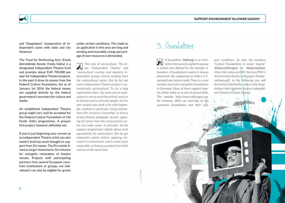

and 'Doppelpass' (cooperation of Independent scene with state and city theatres).

The 'Fund for Performing Arts' (*Fonds Darstellende Künste*, Fonds DaKu) is a designated Independent Theatre fund and provides about EUR 700,000 per year for Independent Theatre projects. In the past it drew its means from the Federal Culture Foundation, but as of January 1st 2016 the federal means are supplied directly by the federal government's secretary for culture and media.

An established Independent Theatre group might very well be accepted for the Federal Culture Foundation or the Fonds DaKu programmes. A group's first project, however, definitely not.

If you're just beginning your carreer as an Independent Theatre artist you also needn't lend too much thought to support from EU means. The EU mainly finances larger investments, for instance for energetic renovation of theatre venues. Projects with participating partners from several European countries (institutions or groups, not individuals!) can also be eligible for grants under certain conditions. The roads to an application in this area are long and winding and invariably a large percentage of own resources is demanded.

*The case of socioculture. The areas "Independent Theatre" and "socioculture" overlap, and regularly Independent groups receive funding from the sociocultural sector. But by far not every Independent Theatre project is automatically sociocultural. To cut a long explanation short, the main aim of socioculture is not so much the artistic work as to involve and to activate people. So if in your project you work a lot with laypeople, embrace a particular living environment (for instance a township), or have a strong theatre pedagogic accent, applying for funds from the sociocultural sector can make sense. In principle, all the support programmes stated above exist equivalently for socioculture. But do get exhaustive advice before applying, because it is uncommon, and in some cases impossible, to finance a project from both sources at the same time.*

## 3. Foundations

*A foundation (Stiftung) is an institution that uses its capital to pursue a certain aim defined by the founder or founders. A foundation's capital is always preserved, the supporting of others is financed from interest yield. There is a vast number of private and public foundations in Germany. Many of them support theatre, either solely or as one of several aims. The website http://www.stiftungen.org, for instance, offers an overview of the numerous foundations and their sup-*

*port conditions. So does the brochure "Culture Foundations in Lower Saxony" (Kulturstiftungen in Niedersachsen, http://ibk-kubia.de/IBK-Dateien/PDFs/ Nachrichten/Kulturstiftungen-Niedersachsen.pdf). In the following you will find initial information about a few foundations that routinely finance Independent Theatre in Lower Saxony.*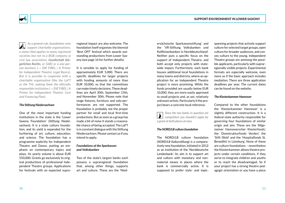

 *As a general rule, foundations only support charitable organisations, a status that applies to many registered societies but not to a BGB company (a civil law association, Gesellschaft bürgerlichen Rechts, or GbR) or a one-person business (*→ *DIE FIBEL | A Primer for Independent Theatre: Legal Basics). But it is possible to cooperate with a charitable organisation (like the LaFT or the TH), making them the officially responsible institution (*→ *DIE FIBEL | A Primer for Independent Theatre: Cost and Financing Plan).*

#### *The Stiftung Niedersachsen*

One of the most important funding institutions in the state is the 'Lower Saxony Foundation' (*Stiftung Niedersachsen*). It is a state culture foundation, and its yield is expended for the furthering of art, culture, education, and science. The foundation has a programme explicitly for Independent Theatre and Dance, putting an emphasis on contemporary topics and plays. Its yearly volume is about EUR 550,000. Grants go exclusively to original productions of professional Independent Theatre groups. Applications for festivals with an expected supraregional impact are also welcome. The foundation itself organises the biennial 'Best OFF' festival which awards outstanding productions from Lower Saxony (see page 16 for further details).

It is sensible to apply for funding of approximately EUR 5,000. There are specific deadlines for larger projects with funding amounts of more than EUR 10,000, so that the committees can make timely decisions. These deadlines are April 30th, September 15th, and November 30th. Please note that stage fixtures, furniture and solo-performances are not supported. The foundation is probably not the proper partner for small and local first-time productions. But as soon as a group has made a bit of noise it stands a reasonable chance of being accepted. The LaFT is in constant dialogue with the Stiftung Niedersachsen. Please contact us if you intend to apply.

#### *Foundations of the Sparkassen and Volksbanken*

Two of the state's largest banks each possess a supraregional foundation that, among other things, supports art and culture. These are the 'Niedersächsische Sparkassenstiftung' and the 'VR-Stiftung Volksbanken und Raiffeisenbanken in Norddeutschland'. Neither puts a specific focus on the support of Independent Theatre, and both accept only projects with statewide impact. Furthermore, each bank houses additional local foundations in many towns and districts, where an application for an Independent Theatre project is more promising. While the funds provided are usually below EUR 10,000, they are more easily approved to small projects and, as yet, relatively unknown artists. Particularly if the project bears a concrete local reference.

*Since the two banks in question are competitors you shouldn't apply for a grant at both places at ones.*

#### *The NORD/LB culture foundation*

The NORD/LB culture foundation (*NORD/LB Kulturstiftung*) is a comparatively new foundation, initiated in 2012 as an institution of the 'Norddeutsche Landesbank'. Its aim is to support art and culture with monetary and nonmaterial means in places where the bank is commercially active. It is supposed to prefer style- and topicspanning projects that actively support culture for selected target groups, open culture for broader audiences, and convey culture to the young. Independent Theatre groups are ammong the possible applicants, particularly with supraregionally visible projects. Experimental formats are especially welcome, even more so if the basic approach includes mediation. There are three application deadlines per year. The current dates can be found on the website.

#### *The Klosterkammer Hannover*

Compared to the other foundations the 'Klosterkammer Hannover' is a slightly different construction. It is a federal state authority responsible for governing four foundations of similar origin and aim. These are the 'Allgemeiner Hannoverscher Klosterfonds', the 'Domstrukturfonds Verden', the 'Stift Ilfeld' and the 'Hospitalfonds St. Benedikti in Lüneburg'. None of these are culture foundations – nevertheless the Klosterkammer allows theatre projects under certain conditions, if they serve to integrate children and youths or to reach the disadvantaged. So if your project has a strong theatre pedagogic orientation or you have a piece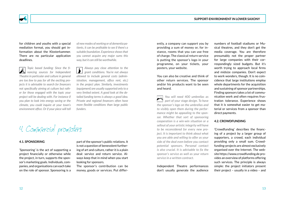**Support-Environment in Lower Saxony**



for children and youths with a special mediation format, you should get information about the Klosterkammer. There are no particular application deadlines.

*Topic based funding: Since the fi-*Ж *nancing sources for Independent Theatre in particular and culture in general are too few to pay for all the exciting projects it is advisable to search for financers not specifically aiming at culture but rather for those engaged with the topic your project will be dealing with. For instance if you plan to look into energy saving or the climate, you could inquire at your town's environment office. Or if your piece will tell*  *of new modes of working or of dementia patients, it can be profitable to see if there's a suitable foundation. Experience shows that you cannot acquire any major sums this way, but it can still be worthwhile.*

*Always pay close attention to the grant conditions. You're not always allowed to include general costs (administration, management, office rent, etc.) in the project plan. Similarly, investments (equipment) are usually supported only to a very limited extent. A good look at the detailed funding terms is always a good idea. Private and regional financers often have more flexible conditions than large public funders.*

4. Commercial promoters

#### **4.1. Sponsoring**

'Sponsoring' is the act of supporting a project financially or otherwise while the project, in turn, supports the sponsor's marketing goals. Individuals, companies, and organisations can each take on the role of sponsor. Sponsoring is a

part of the sponsor's public relations. It is not a question of benevolent furthering of art and culture, rather it is a plain deal: service and return service. Always keep that in mind when you start looking for sponsors.

The sponsor's contribution can be money, goods or services. Put differently, a company can support you by providing a sum of money or, for instance, rooms that you can use free of charge. The classical return service is putting the sponsor's logo in your programme, on your tickets, your posters, your website.

You can also be creative and think of other return services. The sponsor and/or his products want to be seen and heard.

*You will need 400 umbrellas as part of your stage design. To have the sponsor's logo on the umbrellas and to visibly open them during the performance might be appealing to the sponsor. Whether that sort of sponsoring cooperation is a win-win situation or a sellout of your artistic integrity will have to be reconsidered for every new project. It is important to think about what you are able and willing to offer as your side of the deal even before you contact potential sponsors. Personal contact is also crucial. It is advisable to fix the sponsor's service as well as your return service in a written contract.*

Independent Theatre performances don't usually generate the audience numbers of football stadiums or Musical theatres, and they don't get the media coverage. You are therefore presumably not the proper partner for large companies with their correspondingly sized budgets. But it's worth trying to approach local firms and midsize companies. Don't expect to work wonders, though. It is no coincidence that large institutions employ whole departments for the acquisition and sustaining of sponsor partnerships. Finding sponsors takes a lot of communication work and often requires frustration tolerance. Experience shows that it is somewhat easier to get material or services from a sponsor than direct payments.

#### **4.2. Crowdfunding**

'Crowdfunding' describes the financing of a project by a larger group of supporters, a crowd, each individual providing only a small sum. Crowdfunding-projects are almost exclusively organised over the Internet. The website https://www.crowdfunding.de provides an overview of platforms offering such services. The principle is always simple: the project initiators present their project – usually in a video – and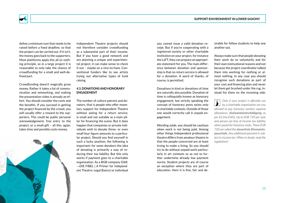

define a minimum sum that needs to be raised before a fixed deadline, so that the project can be carried out. If it isn't, the money goes back to the supporters. Most plattforms apply this all-or-nothing principle, so in a large project it is reasonable to only take the chance of crowdfunding for a small and well-defined part.

Crowdfunding doesn't magically grow money. Rather it takes a lot of communication and networking, and making the presentation video is already an effort. You should consider the costs and the benefits. If you succeed in getting the project financed by the crowd, you will usually offer a reward to the supporters. This could be public personal acknowledgement, free entry to the project, or a small gift – all this, again, takes time and possibly costs money.

Independent Theatre projects should not therefore consider crowdfunding as a substantial part of their income. But if you have a good network and are planning a unique and experimental project, it can make sense to check it out – maybe on a nice-to-have. Conventional funders like to see artists trying out alternative types of fund raising.

#### **4.3. Donations and honorary engagement**

The number of culture patrons and donators, that is people who offer monetary support for Independent Theatre without asking for a return service, is small and not suitable as a main pillar for financing the scene. But it does happen that companies or private individuals wish to donate three- or even small four-figure amounts to a particular project. Should you find yourself in such a lucky position, the following is important: for some donators the idea of donating is primarily a way of reducing their tax liability. But this only works if payment goes to a charitable organisation. As a BGB company (*GbR*, →DIE FIBEL | A Primer for Independent Theatre: Legal Basics) or individual

you cannot issue a valid donation receipt. But if you're cooperating with a registered society or other charitable institution on your project, for instance the LaFT, they can prepare an appropriate statement for you. The main difference between donation and sponsorship is that no return service is allowed for a donation. A word of thanks, of course, is permitted.

Donations in kind or donations of time are naturally also possible. Donation of time is colloquially known as honorary engagement, but strictly speaking the concept of honorary posts exists only in charitable contexts. Outside of those one would correctly call it unpaid engagement.

Wording aside, you should be cautious when work is not being paid. Among other things Independent professional theatre differs from amateur theatre in that the people concerned are at least trying to make a living. So you should try to do without unpaid work particularly in art contexts so as not to further undermine already low payment norms. Student projects are of course an exception where they are part of education. Here it is fine, fair and desirable for fellow students to help one another out.

Always make sure that people donating their work do so voluntarily and for their own motivational reasons and not because the project coordinator talked them into working for nothing or almost nothing. In any case you should recognise such donations as part of your cost and financing plan and never let them get brushed under the rug. Instead list them on the incoming side.

*Only if your project is officially run*  **by a charitable organisation are you** *allowed to pay honorary workers expense allowances (Aufwandsentschädigung as per §3.26a EStG). Up to EUR 720 per year and person are free of income tax liability when payed for honorary tasks. These EUR 720 are called the steuerfreie Ehrenamtspauschale. Any additional payment is subject to income tax. When in doubt, read the regulations!*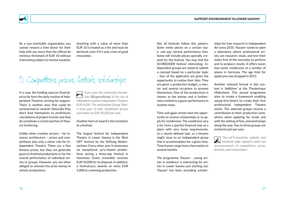**Support-Environment in Lower Saxony**

As a non-charitable organisation you cannot reward a time donor for their help with any more than the official de

Anything with a value of more than EUR 10 is treated as a fee and must be declared, even if it's only a box of good chocolates.

## 5. Competitions, prizes, festivals, scholarships

In a way, the funding sources illustrated so far form the daily routine of Independent Theatres striving for support. There is another area that could be summarised as 'awards'. Naturally they don't lend themselves to preliminary calculations of project income, but they do constitute a certain portion of theatre furthering.

minimus threshold of EUR 10 without it becoming subject to income taxation.

Unlike other creative sectors – for instance architecture – prizes and competitions play only a minor role for Independent Theatre. There are a few theatre prizes, but they are generally given to finished productions or for the overall performance of individual artists or groups. However, you are often obliged to reinvest the prize money in artistic productions.

*Every year the community foundation (Bürgerstiftung) of the city of*<br>**tion (***Bürgerstiftung***) of the city of** *Hildesheim awards Independent Theatres EUR 8,500. The nationwide George Tabori prize goes to fully established groups and makes up EUR 30,000 per year.*

#### Another form of award is the invitation to a festival.

The largest festival for Independent Theatre in Lower Saxony is the 'Best OFF' festival by the Stiftung Niedersachsen. Every other year it showcases six exceptional, jury-chosen productions during a three-day festival in Hannover. Every ensemble receives EUR 10,000 for its disposal. In addition, a festival-jury awards an extra EUR 5,000 to a winning production.

Not all festivals follow this pattern. Some invite pieces on a certain topic and pay normal performance fees. Some will include pieces specially created for the festival. You may find the SCHREDDER festival interesting: Independent groups are asked to submit a concept based on a particular topic – four of the applicants are given the opportunity to realise their idea. They are given a production budget, a mentor and several occasions to present themselves. One of the productions is chosen as the winner and is furthermore invited to a guest performance in another town.

Time and again artists have the opportunity to receive scholarships or to apply for residencies. The conditions vary a lot, from a (partly) financed stay at a place with very loose requirements, to a clearly defined task, as a theatre might issue to an Independent group that it accommodates for a given time. Time frames range from a few weeks to several months.

The programme 'flausen – young artists in residence' is interesting for artists in Lower Saxony just starting out. 'flausen' has been providing scholarships for free research in Independent Art since 2010. 'flausen' wants to open a laboratory where professional artists can research, study, and test their styles free of the necessity to perform and to produce results. It offers seven four-week residencies at a number of places in Germany. The age limit for applicants was dropped in 2015.

Another relevant format in this context is 'deBühne' at the Theaterhaus Hildesheim. This annual programme aims to create a framework enabling young first-timers to create their first professional Independent Theatre works. The selected groups receive a contribution to their production costs, advice when applying for funds and with the setting of fees, and workshops along the way. Two to three groups are invited to join per year.

*The LaFT-newsletter, website, and facebook page regularly point out announcements of competitions, prizes, festivals, and scholarships!*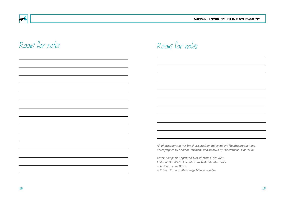

| ۰.<br>۹<br>-<br>$-$ |  |
|---------------------|--|

# Room for notes

Room for notes

*All photographs in this brochure are from Independent Theatre productions, photographed by Andreas Hartmann und archived by Theaterhaus Hildesheim.*

*Cover: Kompanie Kopfstand: Das schönste Ei der Welt Editorial: Die Wilde Drei: subtil brachiale Literaturmusik p. 4: Boxen Team: Boxen p. 9: Flotti Canotti: Wenn junge Männer werden*